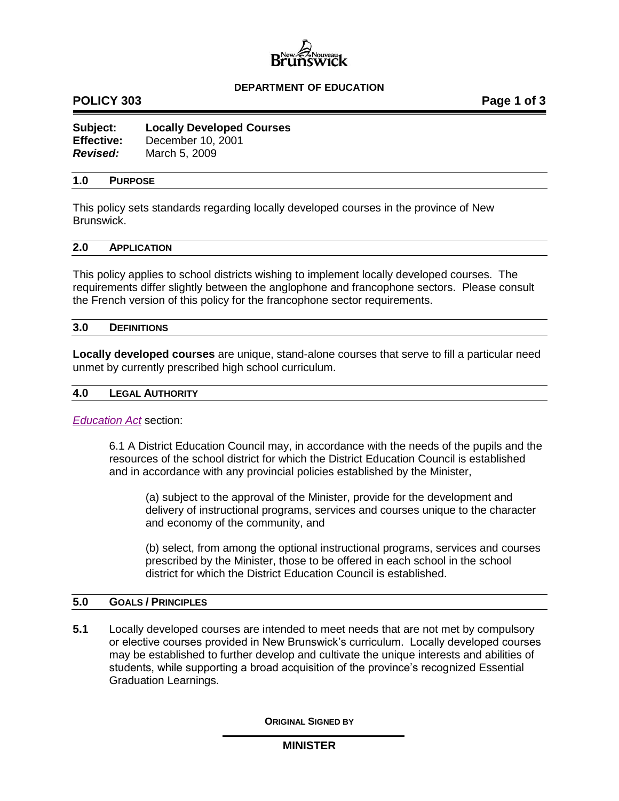

## **DEPARTMENT OF EDUCATION**

# **POLICY 303 Page 1 of 3**

| Subject:          | <b>Locally Developed Courses</b> |
|-------------------|----------------------------------|
| <b>Effective:</b> | December 10, 2001                |
| <b>Revised:</b>   | March 5, 2009                    |

### **1.0 PURPOSE**

This policy sets standards regarding locally developed courses in the province of New Brunswick.

## **2.0 APPLICATION**

This policy applies to school districts wishing to implement locally developed courses. The requirements differ slightly between the anglophone and francophone sectors. Please consult the French version of this policy for the francophone sector requirements.

#### **3.0 DEFINITIONS**

**Locally developed courses** are unique, stand-alone courses that serve to fill a particular need unmet by currently prescribed high school curriculum.

#### **4.0 LEGAL AUTHORITY**

*[Education Act](http://laws.gnb.ca/en/ShowPdf/cs/E-1.12.pdf)* section:

6.1 A District Education Council may, in accordance with the needs of the pupils and the resources of the school district for which the District Education Council is established and in accordance with any provincial policies established by the Minister,

(a) subject to the approval of the Minister, provide for the development and delivery of instructional programs, services and courses unique to the character and economy of the community, and

(b) select, from among the optional instructional programs, services and courses prescribed by the Minister, those to be offered in each school in the school district for which the District Education Council is established.

## **5.0 GOALS / PRINCIPLES**

**5.1** Locally developed courses are intended to meet needs that are not met by compulsory or elective courses provided in New Brunswick's curriculum. Locally developed courses may be established to further develop and cultivate the unique interests and abilities of students, while supporting a broad acquisition of the province's recognized Essential Graduation Learnings.

**ORIGINAL SIGNED BY**

## **MINISTER**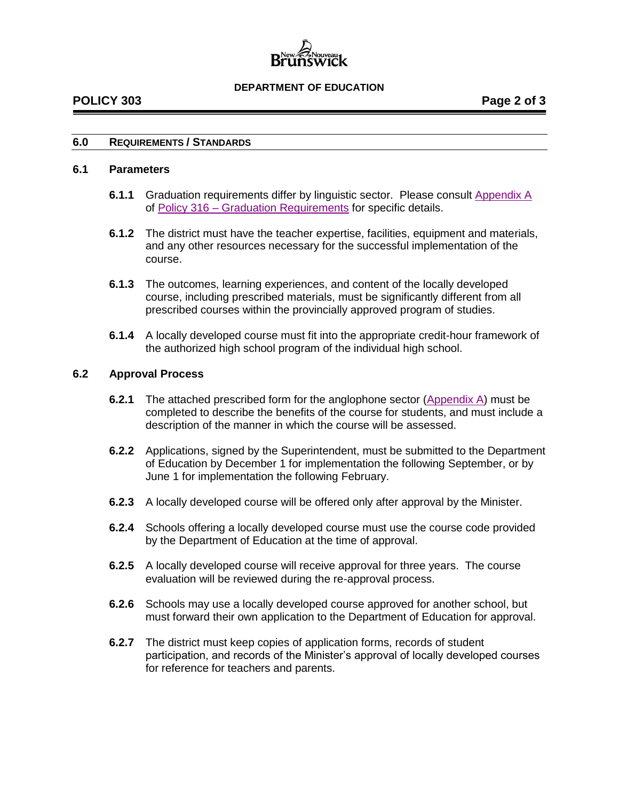

### **DEPARTMENT OF EDUCATION**

# **POLICY 303 Page 2 of 3**

## **6.0 REQUIREMENTS / STANDARDS**

### **6.1 Parameters**

- **6.1.1** Graduation requirements differ by linguistic sector. Please consult Appendix A of Policy 316 – [Graduation Requirements](http://www2.gnb.ca/content/dam/gnb/Departments/ed/pdf/K12/policies-politiques/e/316A.pdf) for specific details.
- **6.1.2** The district must have the teacher expertise, facilities, equipment and materials, and any other resources necessary for the successful implementation of the course.
- **6.1.3** The outcomes, learning experiences, and content of the locally developed course, including prescribed materials, must be significantly different from all prescribed courses within the provincially approved program of studies.
- **6.1.4** A locally developed course must fit into the appropriate credit-hour framework of the authorized high school program of the individual high school.

## **6.2 Approval Process**

- **6.2.1** The attached prescribed form for the anglophone sector [\(Appendix A\)](http://www2.gnb.ca/content/dam/gnb/Departments/ed/pdf/K12/policies-politiques/e/303AA.pdf) must be completed to describe the benefits of the course for students, and must include a description of the manner in which the course will be assessed.
- **6.2.2** Applications, signed by the Superintendent, must be submitted to the Department of Education by December 1 for implementation the following September, or by June 1 for implementation the following February.
- **6.2.3** A locally developed course will be offered only after approval by the Minister.
- **6.2.4** Schools offering a locally developed course must use the course code provided by the Department of Education at the time of approval.
- **6.2.5** A locally developed course will receive approval for three years. The course evaluation will be reviewed during the re-approval process.
- **6.2.6** Schools may use a locally developed course approved for another school, but must forward their own application to the Department of Education for approval.
- **6.2.7** The district must keep copies of application forms, records of student participation, and records of the Minister's approval of locally developed courses for reference for teachers and parents.